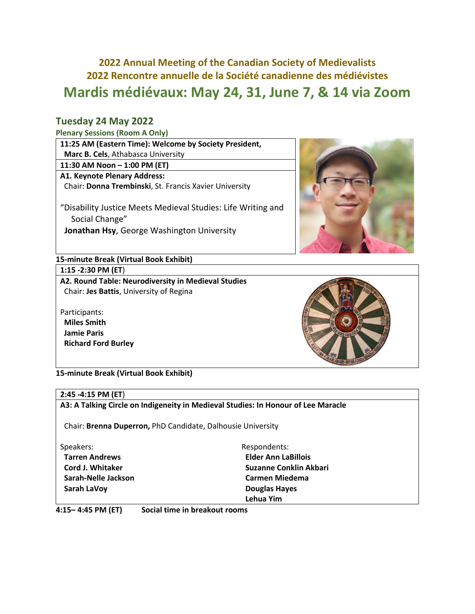# **2022 Annual Meeting of the Canadian Society of Medievalists 2022 Rencontre annuelle de la Société canadienne des médiévistes Mardis médiévaux: May 24, 31, June 7, & 14 via Zoom**

## **Tuesday 24 May 2022**

### **Plenary Sessions (Room A Only)**

| 11:25 AM (Eastern Time): Welcome by Society President,       |
|--------------------------------------------------------------|
| Marc B. Cels, Athabasca University                           |
| 11:30 AM Noon - 1:00 PM (ET)                                 |
| A1. Keynote Plenary Address:                                 |
| Chair: Donna Trembinski, St. Francis Xavier University       |
| "Disability Justice Meets Medieval Studies: Life Writing and |
| Social Change"                                               |
| Jonathan Hsy, George Washington University                   |



## **15-minute Break (Virtual Book Exhibit)**

**1:15 -2:30 PM (ET**)

**A2. Round Table: Neurodiversity in Medieval Studies** Chair: **Jes Battis**, University of Regina

Participants:  **Miles Smith Jamie Paris Richard Ford Burley**



**15-minute Break (Virtual Book Exhibit)**

## **2:45 -4:15 PM (ET**) **A3: A Talking Circle on Indigeneity in Medieval Studies: In Honour of Lee Maracle**

Chair: **Brenna Duperron,** PhD Candidate, Dalhousie University

- Speakers:
- **Tarren Andrews Cord J. Whitaker Sarah-Nelle Jackson Sarah LaVoy**

Respondents:  **Elder Ann LaBillois Suzanne Conklin Akbari Carmen Miedema Douglas Hayes Lehua Yim**

**4:15– 4:45 PM (ET) Social time in breakout rooms**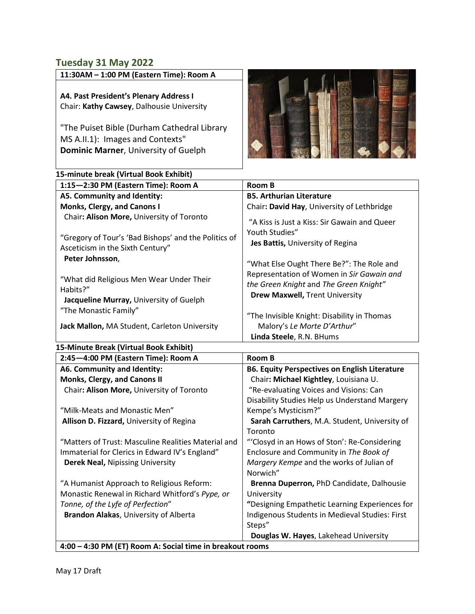## **Tuesday 31 May 2022**

| 11:30AM - 1:00 PM (Eastern Time): Room A |  |
|------------------------------------------|--|
|------------------------------------------|--|

**A4. Past President's Plenary Address I** Chair: **Kathy Cawsey**, Dalhousie University

"The Puiset Bible (Durham Cathedral Library MS A.II.1): Images and Contexts"  **Dominic Marner**, University of Guelph



| 15-minute break (Virtual Book Exhibit)                                                   |                                                                                     |
|------------------------------------------------------------------------------------------|-------------------------------------------------------------------------------------|
| 1:15-2:30 PM (Eastern Time): Room A                                                      | <b>Room B</b>                                                                       |
| A5. Community and Identity:                                                              | <b>B5. Arthurian Literature</b>                                                     |
| Monks, Clergy, and Canons I                                                              | Chair: David Hay, University of Lethbridge                                          |
| Chair: Alison More, University of Toronto                                                | "A Kiss is Just a Kiss: Sir Gawain and Queer<br>Youth Studies"                      |
| "Gregory of Tour's 'Bad Bishops' and the Politics of<br>Asceticism in the Sixth Century" | Jes Battis, University of Regina                                                    |
| Peter Johnsson,                                                                          | "What Else Ought There Be?": The Role and                                           |
| "What did Religious Men Wear Under Their<br>Habits?"                                     | Representation of Women in Sir Gawain and<br>the Green Knight and The Green Knight" |
| Jacqueline Murray, University of Guelph                                                  | <b>Drew Maxwell, Trent University</b>                                               |
| "The Monastic Family"                                                                    | "The Invisible Knight: Disability in Thomas                                         |
| Jack Mallon, MA Student, Carleton University                                             | Malory's Le Morte D'Arthur"                                                         |
|                                                                                          | Linda Steele, R.N. BHums                                                            |
| 15-Minute Break (Virtual Book Exhibit)                                                   |                                                                                     |
| 2:45-4:00 PM (Eastern Time): Room A                                                      | Room B                                                                              |
| A6. Community and Identity:                                                              | <b>B6. Equity Perspectives on English Literature</b>                                |
| Monks, Clergy, and Canons II                                                             | Chair: Michael Kightley, Louisiana U.                                               |
| Chair: Alison More, University of Toronto                                                | "Re-evaluating Voices and Visions: Can                                              |
|                                                                                          | Disability Studies Heln us Understand Margery                                       |

|                                                           | Disability Studies Help us Understand Margery  |  |
|-----------------------------------------------------------|------------------------------------------------|--|
| "Milk-Meats and Monastic Men"                             | Kempe's Mysticism?"                            |  |
| Allison D. Fizzard, University of Regina                  | Sarah Carruthers, M.A. Student, University of  |  |
|                                                           | Toronto                                        |  |
| "Matters of Trust: Masculine Realities Material and       | "Closyd in an Hows of Ston': Re-Considering    |  |
| Immaterial for Clerics in Edward IV's England"            | Enclosure and Community in The Book of         |  |
| <b>Derek Neal, Nipissing University</b>                   | Margery Kempe and the works of Julian of       |  |
|                                                           | Norwich"                                       |  |
| "A Humanist Approach to Religious Reform:                 | Brenna Duperron, PhD Candidate, Dalhousie      |  |
| Monastic Renewal in Richard Whitford's Pype, or           | University                                     |  |
| Tonne, of the Lyfe of Perfection"                         | "Designing Empathetic Learning Experiences for |  |
| Brandon Alakas, University of Alberta                     | Indigenous Students in Medieval Studies: First |  |
|                                                           | Steps"                                         |  |
|                                                           | Douglas W. Hayes, Lakehead University          |  |
| 4:00 - 4:30 PM (ET) Room A: Social time in breakout rooms |                                                |  |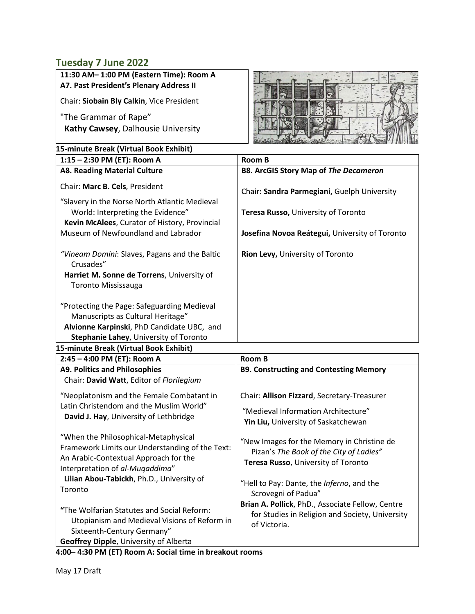## **Tuesday 7 June 2022**

| TUCJUUY 7 JUNG EVEE                                                                                                                 |                                                |  |  |  |  |
|-------------------------------------------------------------------------------------------------------------------------------------|------------------------------------------------|--|--|--|--|
| 11:30 AM-1:00 PM (Eastern Time): Room A                                                                                             |                                                |  |  |  |  |
| A7. Past President's Plenary Address II                                                                                             |                                                |  |  |  |  |
| Chair: Siobain Bly Calkin, Vice President                                                                                           |                                                |  |  |  |  |
| "The Grammar of Rape"                                                                                                               |                                                |  |  |  |  |
| Kathy Cawsey, Dalhousie University                                                                                                  |                                                |  |  |  |  |
| 15-minute Break (Virtual Book Exhibit)                                                                                              |                                                |  |  |  |  |
| 1:15 - 2:30 PM (ET): Room A                                                                                                         | <b>Room B</b>                                  |  |  |  |  |
| <b>A8. Reading Material Culture</b>                                                                                                 | <b>B8. ArcGIS Story Map of The Decameron</b>   |  |  |  |  |
| Chair: Marc B. Cels, President                                                                                                      | Chair: Sandra Parmegiani, Guelph University    |  |  |  |  |
| "Slavery in the Norse North Atlantic Medieval<br>World: Interpreting the Evidence"<br>Kevin McAlees, Curator of History, Provincial | Teresa Russo, University of Toronto            |  |  |  |  |
| Museum of Newfoundland and Labrador                                                                                                 | Josefina Novoa Reátegui, University of Toronto |  |  |  |  |
| "Vineam Domini: Slaves, Pagans and the Baltic<br>Crusades"                                                                          | Rion Levy, University of Toronto               |  |  |  |  |
| Harriet M. Sonne de Torrens, University of                                                                                          |                                                |  |  |  |  |
| <b>Toronto Mississauga</b>                                                                                                          |                                                |  |  |  |  |
| "Protecting the Page: Safeguarding Medieval                                                                                         |                                                |  |  |  |  |
| Manuscripts as Cultural Heritage"                                                                                                   |                                                |  |  |  |  |
| Alvionne Karpinski, PhD Candidate UBC, and                                                                                          |                                                |  |  |  |  |
| Stephanie Lahey, University of Toronto                                                                                              |                                                |  |  |  |  |
| 15-minute Break (Virtual Book Exhibit)                                                                                              |                                                |  |  |  |  |
| 2:45 - 4:00 PM (ET): Room A                                                                                                         | <b>Room B</b>                                  |  |  |  |  |
| <b>A9. Politics and Philosophies</b>                                                                                                | <b>B9. Constructing and Contesting Memory</b>  |  |  |  |  |
| Chair: David Watt, Editor of Florilegium                                                                                            |                                                |  |  |  |  |

| Chair: David Watt, Editor of Florilegium                                                                                                                            |                                                                                                                              |
|---------------------------------------------------------------------------------------------------------------------------------------------------------------------|------------------------------------------------------------------------------------------------------------------------------|
| "Neoplatonism and the Female Combatant in                                                                                                                           | Chair: Allison Fizzard, Secretary-Treasurer                                                                                  |
| Latin Christendom and the Muslim World"<br>David J. Hay, University of Lethbridge                                                                                   | "Medieval Information Architecture"<br>Yin Liu, University of Saskatchewan                                                   |
| "When the Philosophical-Metaphysical<br>Framework Limits our Understanding of the Text:<br>An Arabic-Contextual Approach for the<br>Interpretation of al-Mugaddima" | "New Images for the Memory in Christine de<br>Pizan's The Book of the City of Ladies"<br>Teresa Russo, University of Toronto |
| Lilian Abou-Tabickh, Ph.D., University of<br>Toronto                                                                                                                | "Hell to Pay: Dante, the Inferno, and the<br>Scrovegni of Padua"                                                             |
| "The Wolfarian Statutes and Social Reform:<br>Utopianism and Medieval Visions of Reform in<br>Sixteenth-Century Germany"                                            | Brian A. Pollick, PhD., Associate Fellow, Centre<br>for Studies in Religion and Society, University<br>of Victoria.          |
| <b>Geoffrey Dipple, University of Alberta</b>                                                                                                                       |                                                                                                                              |

**4:00– 4:30 PM (ET) Room A: Social time in breakout rooms**